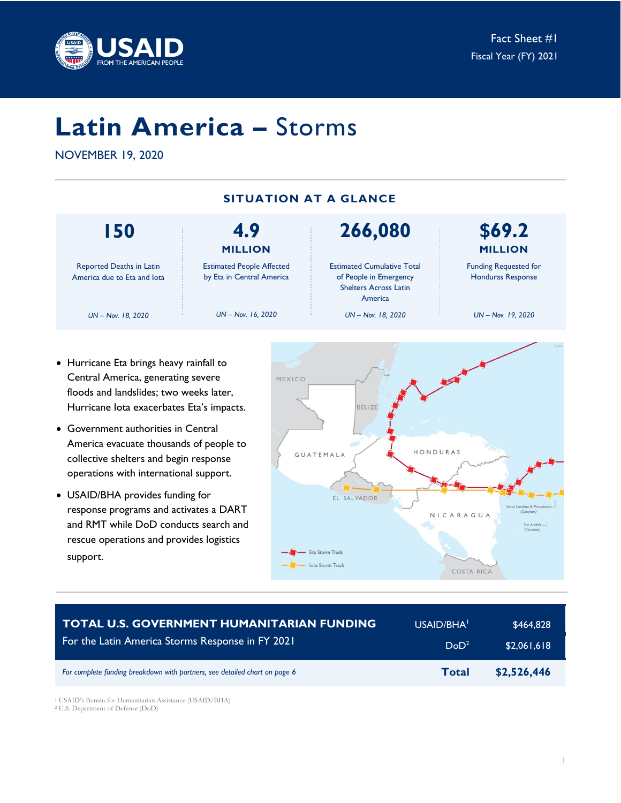

# **Latin America –** Storms

NOVEMBER 19, 2020

**150** Reported Deaths in Latin America due to Eta and Iota *UN – Nov. 18, 2020* **4.9 MILLION** Estimated People Affected by Eta in Central America *UN – Nov. 16, 2020* **266,080** Estimated Cumulative Total of People in Emergency Shelters Across Latin America *UN – Nov. 18, 2020* **\$69.2 MILLION** Funding Requested for Honduras Response *UN – Nov. 19, 2020* **SITUATION AT A GLANCE**

- Hurricane Eta brings heavy rainfall to Central America, generating severe floods and landslides; two weeks later, Hurricane Iota exacerbates Eta's impacts.
- Government authorities in Central America evacuate thousands of people to collective shelters and begin response operations with international support.
- USAID/BHA provides funding for response programs and activates a DART and RMT while DoD conducts search and rescue operations and provides logistics support.



| <b>TOTAL U.S. GOVERNMENT HUMANITARIAN FUNDING</b>                          | USAID/BHA <sup>1</sup> | \$464,828   |
|----------------------------------------------------------------------------|------------------------|-------------|
| For the Latin America Storms Response in FY 2021                           | DoD <sup>2</sup>       | \$2,061,618 |
| For complete funding breakdown with partners, see detailed chart on page 6 | <b>Total</b>           | \$2,526,446 |

<sup>1</sup> USAID's Bureau for Humanitarian Assistance (USAID/BHA)

<sup>2</sup> U.S. Department of Defense (DoD)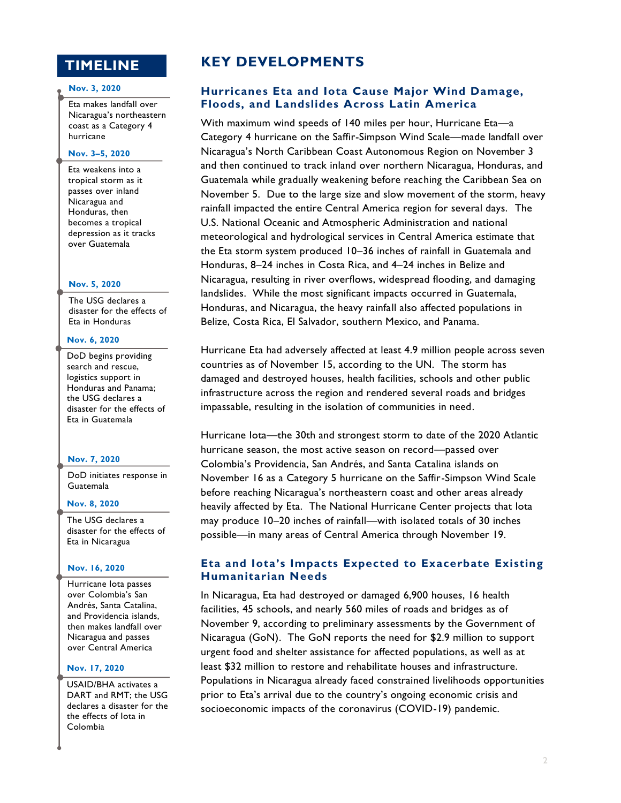## **TIMELINE**

#### **Nov. 3, 2020**

Eta makes landfall over Nicaragua's northeastern coast as a Category 4 hurricane

### **Nov. 3–5, 2020**

Eta weakens into a tropical storm as it passes over inland Nicaragua and Honduras, then becomes a tropical depression as it tracks over Guatemala

#### **Nov. 5, 2020**

The USG declares a disaster for the effects of Eta in Honduras

#### **Nov. 6, 2020**

DoD begins providing search and rescue, logistics support in Honduras and Panama; the USG declares a disaster for the effects of Eta in Guatemala

#### **Nov. 7, 2020**

DoD initiates response in Guatemala

#### **Nov. 8, 2020**

The USG declares a disaster for the effects of Eta in Nicaragua

#### **Nov. 16, 2020**

Hurricane Iota passes over Colombia's San Andrés, Santa Catalina, and Providencia islands, then makes landfall over Nicaragua and passes over Central America

#### **Nov. 17, 2020**

USAID/BHA activates a DART and RMT; the USG declares a disaster for the the effects of Iota in Colombia

## **KEY DEVELOPMENTS**

## **Hurricanes Eta and Iota Cause Major Wind Damage, Floods, and Landslides Across Latin America**

With maximum wind speeds of 140 miles per hour, Hurricane Eta—a Category 4 hurricane on the Saffir-Simpson Wind Scale—made landfall over Nicaragua's North Caribbean Coast Autonomous Region on November 3 and then continued to track inland over northern Nicaragua, Honduras, and Guatemala while gradually weakening before reaching the Caribbean Sea on November 5. Due to the large size and slow movement of the storm, heavy rainfall impacted the entire Central America region for several days. The U.S. National Oceanic and Atmospheric Administration and national meteorological and hydrological services in Central America estimate that the Eta storm system produced 10–36 inches of rainfall in Guatemala and Honduras, 8–24 inches in Costa Rica, and 4–24 inches in Belize and Nicaragua, resulting in river overflows, widespread flooding, and damaging landslides. While the most significant impacts occurred in Guatemala, Honduras, and Nicaragua, the heavy rainfall also affected populations in Belize, Costa Rica, El Salvador, southern Mexico, and Panama.

Hurricane Eta had adversely affected at least 4.9 million people across seven countries as of November 15, according to the UN. The storm has damaged and destroyed houses, health facilities, schools and other public infrastructure across the region and rendered several roads and bridges impassable, resulting in the isolation of communities in need.

Hurricane Iota—the 30th and strongest storm to date of the 2020 Atlantic hurricane season, the most active season on record—passed over Colombia's Providencia, San Andrés, and Santa Catalina islands on November 16 as a Category 5 hurricane on the Saffir-Simpson Wind Scale before reaching Nicaragua's northeastern coast and other areas already heavily affected by Eta. The National Hurricane Center projects that Iota may produce 10–20 inches of rainfall—with isolated totals of 30 inches possible—in many areas of Central America through November 19.

## **Eta and Iota's Impacts Expected to Exacerbate Existing Humanitarian Needs**

In Nicaragua, Eta had destroyed or damaged 6,900 houses, 16 health facilities, 45 schools, and nearly 560 miles of roads and bridges as of November 9, according to preliminary assessments by the Government of Nicaragua (GoN). The GoN reports the need for \$2.9 million to support urgent food and shelter assistance for affected populations, as well as at least \$32 million to restore and rehabilitate houses and infrastructure. Populations in Nicaragua already faced constrained livelihoods opportunities prior to Eta's arrival due to the country's ongoing economic crisis and socioeconomic impacts of the coronavirus (COVID-19) pandemic.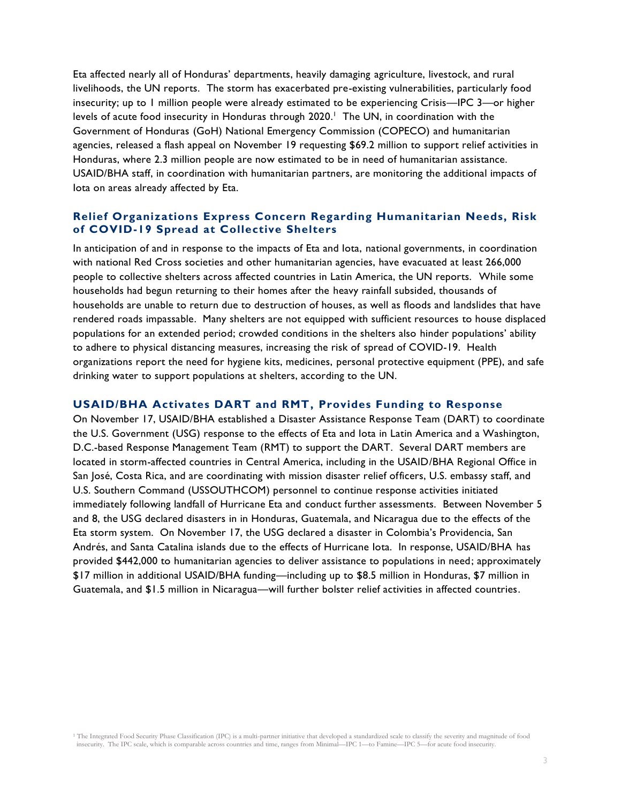Eta affected nearly all of Honduras' departments, heavily damaging agriculture, livestock, and rural livelihoods, the UN reports. The storm has exacerbated pre-existing vulnerabilities, particularly food insecurity; up to 1 million people were already estimated to be experiencing Crisis—IPC 3—or higher levels of acute food insecurity in Honduras through 2020.<sup>1</sup> The UN, in coordination with the Government of Honduras (GoH) National Emergency Commission (COPECO) and humanitarian agencies, released a flash appeal on November 19 requesting \$69.2 million to support relief activities in Honduras, where 2.3 million people are now estimated to be in need of humanitarian assistance. USAID/BHA staff, in coordination with humanitarian partners, are monitoring the additional impacts of Iota on areas already affected by Eta.

## **Relief Organizations Express Concern Regarding Humanitarian Needs, Risk of COVID-19 Spread at Collective Shelters**

In anticipation of and in response to the impacts of Eta and Iota, national governments, in coordination with national Red Cross societies and other humanitarian agencies, have evacuated at least 266,000 people to collective shelters across affected countries in Latin America, the UN reports. While some households had begun returning to their homes after the heavy rainfall subsided, thousands of households are unable to return due to destruction of houses, as well as floods and landslides that have rendered roads impassable. Many shelters are not equipped with sufficient resources to house displaced populations for an extended period; crowded conditions in the shelters also hinder populations' ability to adhere to physical distancing measures, increasing the risk of spread of COVID-19. Health organizations report the need for hygiene kits, medicines, personal protective equipment (PPE), and safe drinking water to support populations at shelters, according to the UN.

## **USAID/BHA Activates DART and RMT, Provides Funding to Response**

On November 17, USAID/BHA established a Disaster Assistance Response Team (DART) to coordinate the U.S. Government (USG) response to the effects of Eta and Iota in Latin America and a Washington, D.C.-based Response Management Team (RMT) to support the DART. Several DART members are located in storm-affected countries in Central America, including in the USAID/BHA Regional Office in San José, Costa Rica, and are coordinating with mission disaster relief officers, U.S. embassy staff, and U.S. Southern Command (USSOUTHCOM) personnel to continue response activities initiated immediately following landfall of Hurricane Eta and conduct further assessments. Between November 5 and 8, the USG declared disasters in in Honduras, Guatemala, and Nicaragua due to the effects of the Eta storm system. On November 17, the USG declared a disaster in Colombia's Providencia, San Andrés, and Santa Catalina islands due to the effects of Hurricane Iota. In response, USAID/BHA has provided \$442,000 to humanitarian agencies to deliver assistance to populations in need; approximately \$17 million in additional USAID/BHA funding—including up to \$8.5 million in Honduras, \$7 million in Guatemala, and \$1.5 million in Nicaragua—will further bolster relief activities in affected countries.

<sup>1</sup> The Integrated Food Security Phase Classification (IPC) is a multi-partner initiative that developed a standardized scale to classify the severity and magnitude of food insecurity. The IPC scale, which is comparable across countries and time, ranges from Minimal—IPC 1—to Famine—IPC 5—for acute food insecurity.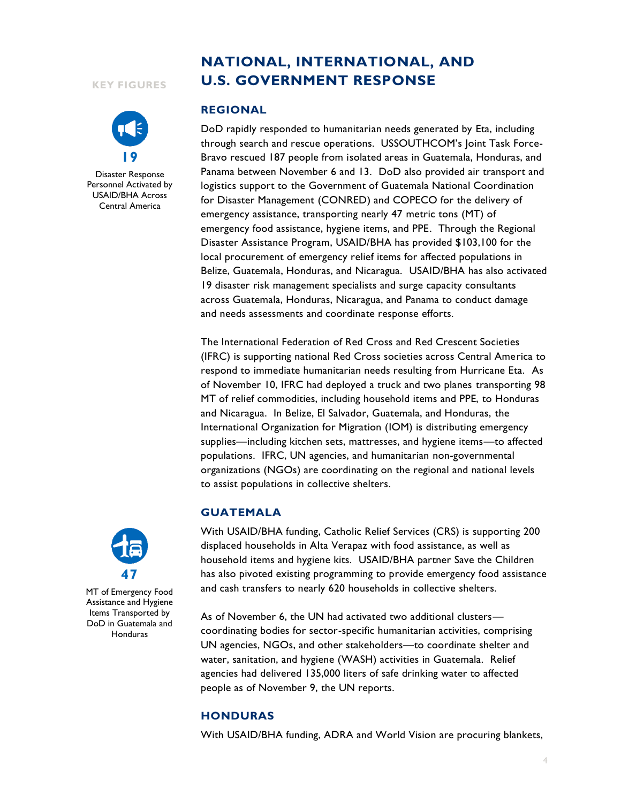#### **KEY FIGURES**



Disaster Response Personnel Activated by USAID/BHA Across Central America

# **NATIONAL, INTERNATIONAL, AND U.S. GOVERNMENT RESPONSE**

#### **REGIONAL**

DoD rapidly responded to humanitarian needs generated by Eta, including through search and rescue operations. USSOUTHCOM's Joint Task Force-Bravo rescued 187 people from isolated areas in Guatemala, Honduras, and Panama between November 6 and 13. DoD also provided air transport and logistics support to the Government of Guatemala National Coordination for Disaster Management (CONRED) and COPECO for the delivery of emergency assistance, transporting nearly 47 metric tons (MT) of emergency food assistance, hygiene items, and PPE. Through the Regional Disaster Assistance Program, USAID/BHA has provided \$103,100 for the local procurement of emergency relief items for affected populations in Belize, Guatemala, Honduras, and Nicaragua. USAID/BHA has also activated 19 disaster risk management specialists and surge capacity consultants across Guatemala, Honduras, Nicaragua, and Panama to conduct damage and needs assessments and coordinate response efforts.

The International Federation of Red Cross and Red Crescent Societies (IFRC) is supporting national Red Cross societies across Central America to respond to immediate humanitarian needs resulting from Hurricane Eta. As of November 10, IFRC had deployed a truck and two planes transporting 98 MT of relief commodities, including household items and PPE, to Honduras and Nicaragua. In Belize, El Salvador, Guatemala, and Honduras, the International Organization for Migration (IOM) is distributing emergency supplies—including kitchen sets, mattresses, and hygiene items—to affected populations. IFRC, UN agencies, and humanitarian non-governmental organizations (NGOs) are coordinating on the regional and national levels to assist populations in collective shelters.

## **GUATEMALA**

With USAID/BHA funding, Catholic Relief Services (CRS) is supporting 200 displaced households in Alta Verapaz with food assistance, as well as household items and hygiene kits. USAID/BHA partner Save the Children has also pivoted existing programming to provide emergency food assistance and cash transfers to nearly 620 households in collective shelters.

As of November 6, the UN had activated two additional clusters coordinating bodies for sector-specific humanitarian activities, comprising UN agencies, NGOs, and other stakeholders—to coordinate shelter and water, sanitation, and hygiene (WASH) activities in Guatemala. Relief agencies had delivered 135,000 liters of safe drinking water to affected people as of November 9, the UN reports.

## **HONDURAS**

With USAID/BHA funding, ADRA and World Vision are procuring blankets,



MT of Emergency Food Assistance and Hygiene Items Transported by DoD in Guatemala and **Honduras**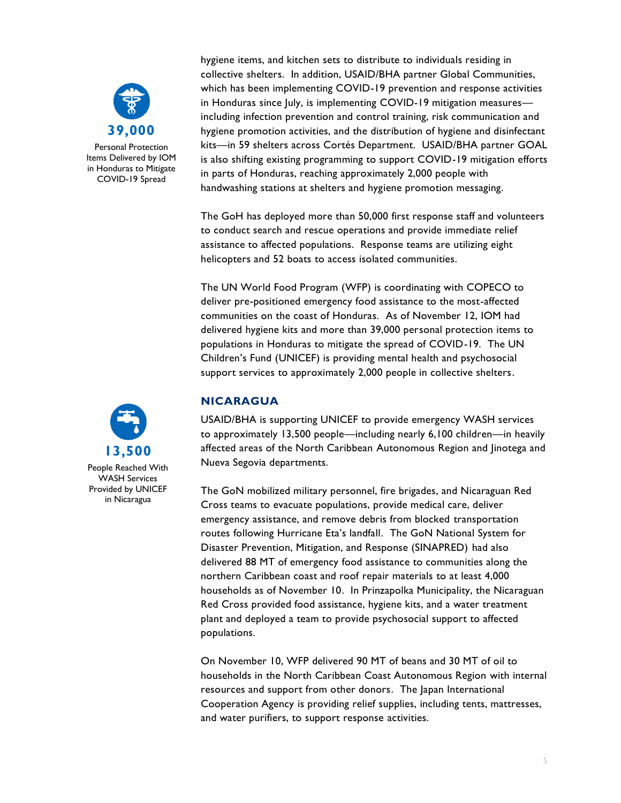

Personal Protection Items Delivered by IOM in Honduras to Mitigate COVID-19 Spread

hygiene items, and kitchen sets to distribute to individuals residing in collective shelters. In addition, USAID/BHA partner Global Communities, which has been implementing COVID-19 prevention and response activities in Honduras since July, is implementing COVID-19 mitigation measuresincluding infection prevention and control training, risk communication and hygiene promotion activities, and the distribution of hygiene and disinfectant kits—in 59 shelters across Cortés Department. USAID/BHA partner GOAL is also shifting existing programming to support COVID-19 mitigation efforts in parts of Honduras, reaching approximately 2,000 people with handwashing stations at shelters and hygiene promotion messaging.

The GoH has deployed more than 50,000 first response staff and volunteers to conduct search and rescue operations and provide immediate relief assistance to affected populations. Response teams are utilizing eight helicopters and 52 boats to access isolated communities.

The UN World Food Program (WFP) is coordinating with COPECO to deliver pre-positioned emergency food assistance to the most-affected communities on the coast of Honduras. As of November 12, IOM had delivered hygiene kits and more than 39,000 personal protection items to populations in Honduras to mitigate the spread of COVID-19. The UN Children's Fund (UNICEF) is providing mental health and psychosocial support services to approximately 2,000 people in collective shelters.

## **NICARAGUA**

USAID/BHA is supporting UNICEF to provide emergency WASH services to approximately 13,500 people—including nearly 6,100 children—in heavily affected areas of the North Caribbean Autonomous Region and Jinotega and Nueva Segovia departments.

The GoN mobilized military personnel, fire brigades, and Nicaraguan Red Cross teams to evacuate populations, provide medical care, deliver emergency assistance, and remove debris from blocked transportation routes following Hurricane Eta's landfall. The GoN National System for Disaster Prevention, Mitigation, and Response (SINAPRED) had also delivered 88 MT of emergency food assistance to communities along the northern Caribbean coast and roof repair materials to at least 4,000 households as of November 10. In Prinzapolka Municipality, the Nicaraguan Red Cross provided food assistance, hygiene kits, and a water treatment plant and deployed a team to provide psychosocial support to affected populations.

On November 10, WFP delivered 90 MT of beans and 30 MT of oil to households in the North Caribbean Coast Autonomous Region with internal resources and support from other donors. The Japan International Cooperation Agency is providing relief supplies, including tents, mattresses, and water purifiers, to support response activities.



People Reached With WASH Services Provided by UNICEF in Nicaragua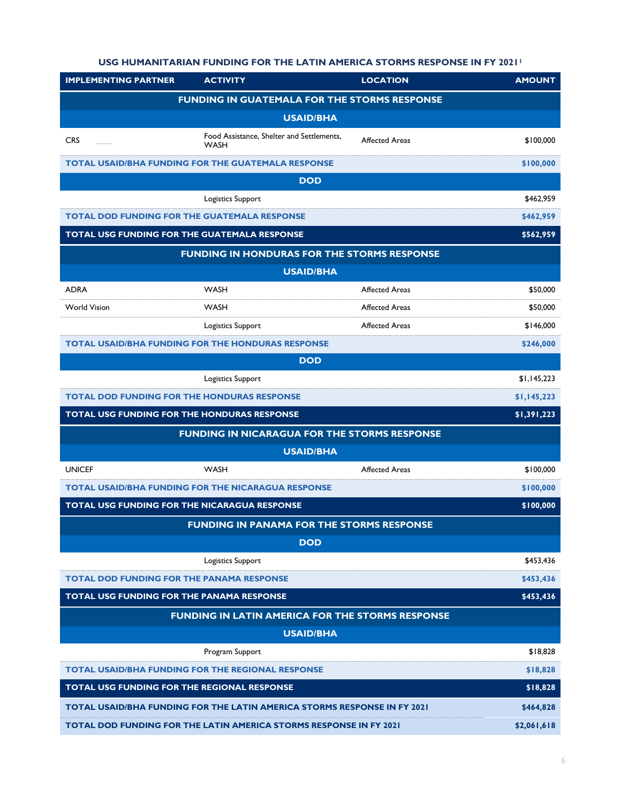## **USG HUMANITARIAN FUNDING FOR THE LATIN AMERICA STORMS RESPONSE IN FY 2021<sup>1</sup>**

| <b>IMPLEMENTING PARTNER</b>                                               | <b>ACTIVITY</b>                                           | <b>LOCATION</b>       | <b>AMOUNT</b> |  |
|---------------------------------------------------------------------------|-----------------------------------------------------------|-----------------------|---------------|--|
| <b>FUNDING IN GUATEMALA FOR THE STORMS RESPONSE</b>                       |                                                           |                       |               |  |
| <b>USAID/BHA</b>                                                          |                                                           |                       |               |  |
| <b>CRS</b>                                                                | Food Assistance, Shelter and Settlements,<br><b>WASH</b>  | <b>Affected Areas</b> | \$100,000     |  |
|                                                                           | <b>TOTAL USAID/BHA FUNDING FOR THE GUATEMALA RESPONSE</b> |                       | \$100,000     |  |
| <b>DOD</b>                                                                |                                                           |                       |               |  |
|                                                                           | Logistics Support                                         |                       | \$462,959     |  |
|                                                                           | <b>TOTAL DOD FUNDING FOR THE GUATEMALA RESPONSE</b>       |                       | \$462,959     |  |
| TOTAL USG FUNDING FOR THE GUATEMALA RESPONSE<br>\$562,959                 |                                                           |                       |               |  |
| <b>FUNDING IN HONDURAS FOR THE STORMS RESPONSE</b>                        |                                                           |                       |               |  |
| <b>USAID/BHA</b>                                                          |                                                           |                       |               |  |
| <b>ADRA</b>                                                               | <b>WASH</b>                                               | <b>Affected Areas</b> | \$50,000      |  |
| <b>World Vision</b>                                                       | <b>WASH</b>                                               | <b>Affected Areas</b> | \$50,000      |  |
|                                                                           | Logistics Support                                         | <b>Affected Areas</b> | \$146,000     |  |
|                                                                           | <b>TOTAL USAID/BHA FUNDING FOR THE HONDURAS RESPONSE</b>  |                       | \$246,000     |  |
| <b>DOD</b>                                                                |                                                           |                       |               |  |
|                                                                           | Logistics Support                                         |                       | \$1,145,223   |  |
| <b>TOTAL DOD FUNDING FOR THE HONDURAS RESPONSE</b>                        |                                                           |                       | \$1,145,223   |  |
| <b>TOTAL USG FUNDING FOR THE HONDURAS RESPONSE</b>                        |                                                           |                       | \$1,391,223   |  |
|                                                                           | <b>FUNDING IN NICARAGUA FOR THE STORMS RESPONSE</b>       |                       |               |  |
| <b>USAID/BHA</b>                                                          |                                                           |                       |               |  |
| <b>UNICEF</b>                                                             | <b>WASH</b>                                               | <b>Affected Areas</b> | \$100,000     |  |
|                                                                           | <b>TOTAL USAID/BHA FUNDING FOR THE NICARAGUA RESPONSE</b> |                       | \$100,000     |  |
| <b>TOTAL USG FUNDING FOR THE NICARAGUA RESPONSE</b><br>\$100,000          |                                                           |                       |               |  |
| <b>FUNDING IN PANAMA FOR THE STORMS RESPONSE</b>                          |                                                           |                       |               |  |
| <b>DOD</b>                                                                |                                                           |                       |               |  |
|                                                                           | Logistics Support                                         |                       | \$453,436     |  |
| <b>TOTAL DOD FUNDING FOR THE PANAMA RESPONSE</b>                          |                                                           |                       | \$453,436     |  |
| TOTAL USG FUNDING FOR THE PANAMA RESPONSE                                 |                                                           |                       | \$453,436     |  |
| <b>FUNDING IN LATIN AMERICA FOR THE STORMS RESPONSE</b>                   |                                                           |                       |               |  |
| <b>USAID/BHA</b>                                                          |                                                           |                       |               |  |
|                                                                           | Program Support                                           |                       | \$18,828      |  |
|                                                                           | <b>TOTAL USAID/BHA FUNDING FOR THE REGIONAL RESPONSE</b>  |                       | \$18,828      |  |
| TOTAL USG FUNDING FOR THE REGIONAL RESPONSE<br>\$18,828                   |                                                           |                       |               |  |
| TOTAL USAID/BHA FUNDING FOR THE LATIN AMERICA STORMS RESPONSE IN FY 2021  |                                                           | \$464,828             |               |  |
| <b>TOTAL DOD FUNDING FOR THE LATIN AMERICA STORMS RESPONSE IN FY 2021</b> |                                                           | \$2,061,618           |               |  |